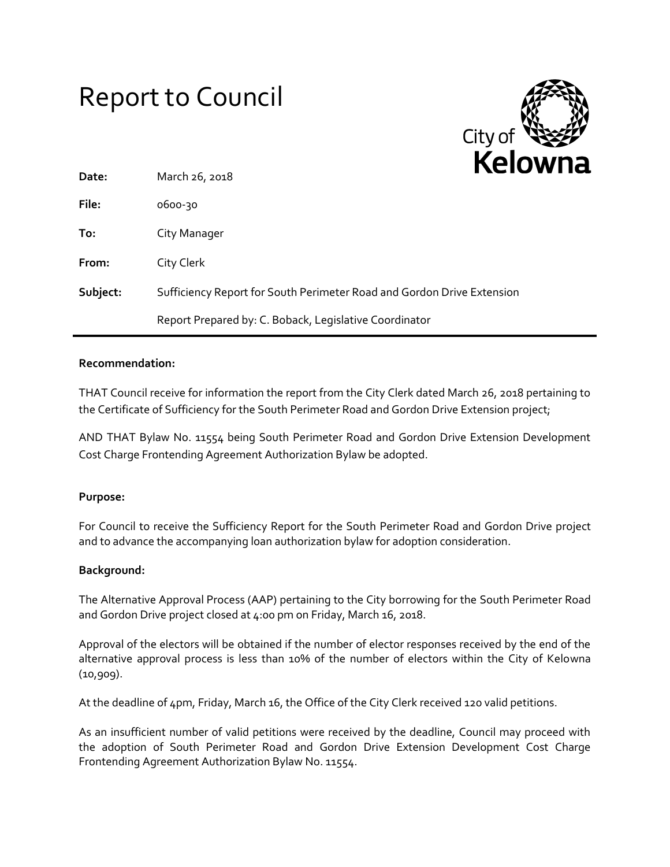# Report to Council



| Date:    | March 26, 2018                                                         |  |
|----------|------------------------------------------------------------------------|--|
| File:    | 0600-30                                                                |  |
| To:      | City Manager                                                           |  |
| From:    | City Clerk                                                             |  |
| Subject: | Sufficiency Report for South Perimeter Road and Gordon Drive Extension |  |
|          | Report Prepared by: C. Boback, Legislative Coordinator                 |  |

## **Recommendation:**

THAT Council receive for information the report from the City Clerk dated March 26, 2018 pertaining to the Certificate of Sufficiency for the South Perimeter Road and Gordon Drive Extension project;

AND THAT Bylaw No. 11554 being South Perimeter Road and Gordon Drive Extension Development Cost Charge Frontending Agreement Authorization Bylaw be adopted.

#### **Purpose:**

For Council to receive the Sufficiency Report for the South Perimeter Road and Gordon Drive project and to advance the accompanying loan authorization bylaw for adoption consideration.

#### **Background:**

The Alternative Approval Process (AAP) pertaining to the City borrowing for the South Perimeter Road and Gordon Drive project closed at 4:00 pm on Friday, March 16, 2018.

Approval of the electors will be obtained if the number of elector responses received by the end of the alternative approval process is less than 10% of the number of electors within the City of Kelowna (10,909).

At the deadline of 4pm, Friday, March 16, the Office of the City Clerk received 120 valid petitions.

As an insufficient number of valid petitions were received by the deadline, Council may proceed with the adoption of South Perimeter Road and Gordon Drive Extension Development Cost Charge Frontending Agreement Authorization Bylaw No. 11554.